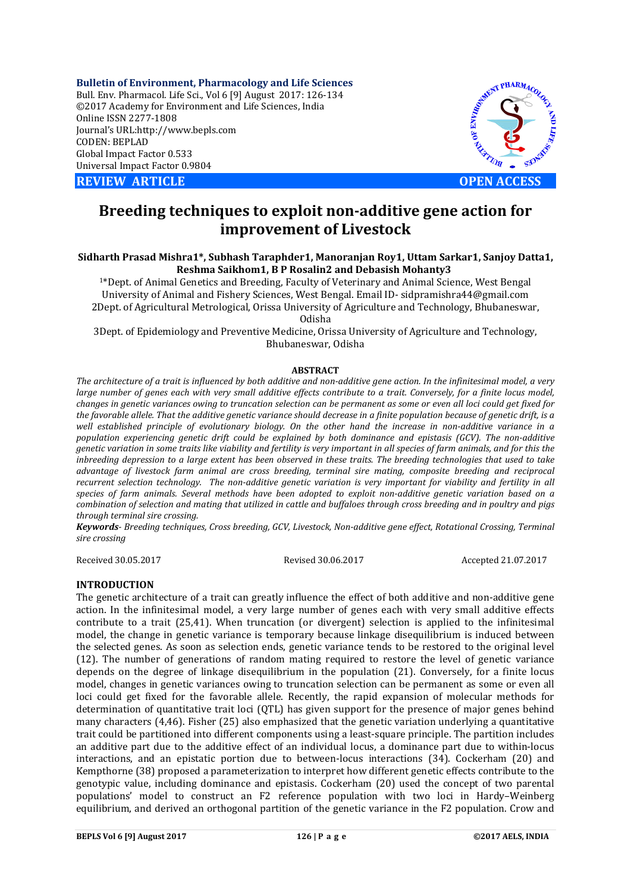**Bulletin of Environment, Pharmacology and Life Sciences** Bull. Env. Pharmacol. Life Sci., Vol 6 [9] August 2017: 126-134 ©2017 Academy for Environment and Life Sciences, India Online ISSN 2277-1808 Journal's URL:http://www.bepls.com CODEN: BEPLAD Global Impact Factor 0.533 Universal Impact Factor 0.9804

**REVIEW ARTICLE CONSUMING A REVIEW ARTICLE** 



# **Breeding techniques to exploit non-additive gene action for improvement of Livestock**

# **Sidharth Prasad Mishra1\*, Subhash Taraphder1, Manoranjan Roy1, Uttam Sarkar1, Sanjoy Datta1, Reshma Saikhom1, B P Rosalin2 and Debasish Mohanty3**

1\*Dept. of Animal Genetics and Breeding, Faculty of Veterinary and Animal Science, West Bengal University of Animal and Fishery Sciences, West Bengal. Email ID- sidpramishra44@gmail.com 2Dept. of Agricultural Metrological, Orissa University of Agriculture and Technology, Bhubaneswar, Odisha

3Dept. of Epidemiology and Preventive Medicine, Orissa University of Agriculture and Technology, Bhubaneswar, Odisha

# **ABSTRACT**

*The architecture of a trait is influenced by both additive and non-additive gene action. In the infinitesimal model, a very large number of genes each with very small additive effects contribute to a trait. Conversely, for a finite locus model, changes in genetic variances owing to truncation selection can be permanent as some or even all loci could get fixed for the favorable allele. That the additive genetic variance should decrease in a finite population because of genetic drift, is a well established principle of evolutionary biology. On the other hand the increase in non-additive variance in a population experiencing genetic drift could be explained by both dominance and epistasis (GCV). The non-additive genetic variation in some traits like viability and fertility is very important in all species of farm animals, and for this the inbreeding depression to a large extent has been observed in these traits. The breeding technologies that used to take advantage of livestock farm animal are cross breeding, terminal sire mating, composite breeding and reciprocal recurrent selection technology. The non-additive genetic variation is very important for viability and fertility in all species of farm animals. Several methods have been adopted to exploit non-additive genetic variation based on a combination of selection and mating that utilized in cattle and buffaloes through cross breeding and in poultry and pigs through terminal sire crossing.* 

*Keywords- Breeding techniques, Cross breeding, GCV, Livestock, Non-additive gene effect, Rotational Crossing, Terminal sire crossing* 

Received 30.05.2017 Revised 30.06.2017 Accepted 21.07.2017

# **INTRODUCTION**

The genetic architecture of a trait can greatly influence the effect of both additive and non-additive gene action. In the infinitesimal model, a very large number of genes each with very small additive effects contribute to a trait (25,41). When truncation (or divergent) selection is applied to the infinitesimal model, the change in genetic variance is temporary because linkage disequilibrium is induced between the selected genes. As soon as selection ends, genetic variance tends to be restored to the original level (12). The number of generations of random mating required to restore the level of genetic variance depends on the degree of linkage disequilibrium in the population (21). Conversely, for a finite locus model, changes in genetic variances owing to truncation selection can be permanent as some or even all loci could get fixed for the favorable allele. Recently, the rapid expansion of molecular methods for determination of quantitative trait loci (QTL) has given support for the presence of major genes behind many characters (4,46). Fisher (25) also emphasized that the genetic variation underlying a quantitative trait could be partitioned into different components using a least-square principle. The partition includes an additive part due to the additive effect of an individual locus, a dominance part due to within-locus interactions, and an epistatic portion due to between-locus interactions (34). Cockerham (20) and Kempthorne (38) proposed a parameterization to interpret how different genetic effects contribute to the genotypic value, including dominance and epistasis. Cockerham (20) used the concept of two parental populations' model to construct an F2 reference population with two loci in Hardy–Weinberg equilibrium, and derived an orthogonal partition of the genetic variance in the F2 population. Crow and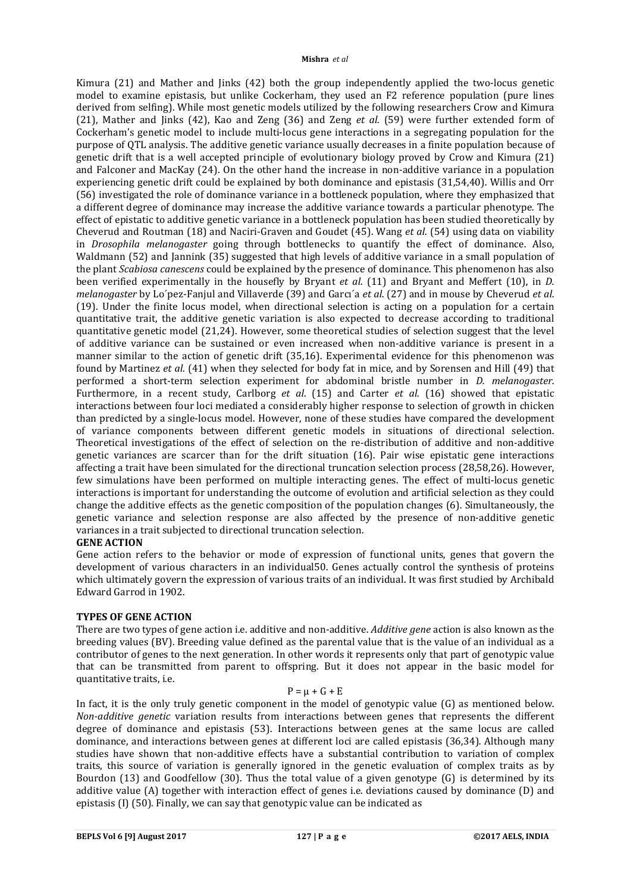Kimura (21) and Mather and Jinks (42) both the group independently applied the two-locus genetic model to examine epistasis, but unlike Cockerham, they used an F2 reference population (pure lines derived from selfing). While most genetic models utilized by the following researchers Crow and Kimura (21), Mather and Jinks (42), Kao and Zeng (36) and Zeng *et al.* (59) were further extended form of Cockerham's genetic model to include multi-locus gene interactions in a segregating population for the purpose of QTL analysis. The additive genetic variance usually decreases in a finite population because of genetic drift that is a well accepted principle of evolutionary biology proved by Crow and Kimura (21) and Falconer and MacKay (24). On the other hand the increase in non-additive variance in a population experiencing genetic drift could be explained by both dominance and epistasis (31,54,40). Willis and Orr (56) investigated the role of dominance variance in a bottleneck population, where they emphasized that a different degree of dominance may increase the additive variance towards a particular phenotype. The effect of epistatic to additive genetic variance in a bottleneck population has been studied theoretically by Cheverud and Routman (18) and Naciri-Graven and Goudet (45). Wang *et al*. (54) using data on viability in *Drosophila melanogaster* going through bottlenecks to quantify the effect of dominance. Also, Waldmann (52) and Jannink (35) suggested that high levels of additive variance in a small population of the plant *Scabiosa canescens* could be explained by the presence of dominance. This phenomenon has also been verified experimentally in the housefly by Bryant *et al*. (11) and Bryant and Meffert (10), in *D. melanogaster* by Lo´pez-Fanjul and Villaverde (39) and Garcı´a *et al*. (27) and in mouse by Cheverud *et al*. (19). Under the finite locus model, when directional selection is acting on a population for a certain quantitative trait, the additive genetic variation is also expected to decrease according to traditional quantitative genetic model (21,24). However, some theoretical studies of selection suggest that the level of additive variance can be sustained or even increased when non-additive variance is present in a manner similar to the action of genetic drift (35,16). Experimental evidence for this phenomenon was found by Martinez *et al*. (41) when they selected for body fat in mice, and by Sorensen and Hill (49) that performed a short-term selection experiment for abdominal bristle number in *D. melanogaster*. Furthermore, in a recent study, Carlborg *et al*. (15) and Carter *et al*. (16) showed that epistatic interactions between four loci mediated a considerably higher response to selection of growth in chicken than predicted by a single-locus model. However, none of these studies have compared the development of variance components between different genetic models in situations of directional selection. Theoretical investigations of the effect of selection on the re-distribution of additive and non-additive genetic variances are scarcer than for the drift situation (16). Pair wise epistatic gene interactions affecting a trait have been simulated for the directional truncation selection process (28,58,26). However, few simulations have been performed on multiple interacting genes. The effect of multi-locus genetic interactions is important for understanding the outcome of evolution and artificial selection as they could change the additive effects as the genetic composition of the population changes (6). Simultaneously, the genetic variance and selection response are also affected by the presence of non-additive genetic variances in a trait subjected to directional truncation selection.

# **GENE ACTION**

Gene action refers to the behavior or mode of expression of functional units, genes that govern the development of various characters in an individual50. Genes actually control the synthesis of proteins which ultimately govern the expression of various traits of an individual. It was first studied by Archibald Edward Garrod in 1902.

### **TYPES OF GENE ACTION**

There are two types of gene action i.e. additive and non-additive. *Additive gene* action is also known as the breeding values (BV). Breeding value defined as the parental value that is the value of an individual as a contributor of genes to the next generation. In other words it represents only that part of genotypic value that can be transmitted from parent to offspring. But it does not appear in the basic model for quantitative traits, i.e.

# $P = u + G + E$

In fact, it is the only truly genetic component in the model of genotypic value (G) as mentioned below. *Non-additive genetic* variation results from interactions between genes that represents the different degree of dominance and epistasis (53). Interactions between genes at the same locus are called dominance, and interactions between genes at different loci are called epistasis (36,34). Although many studies have shown that non-additive effects have a substantial contribution to variation of complex traits, this source of variation is generally ignored in the genetic evaluation of complex traits as by Bourdon (13) and Goodfellow (30). Thus the total value of a given genotype (G) is determined by its additive value (A) together with interaction effect of genes i.e. deviations caused by dominance (D) and epistasis (I) (50). Finally, we can say that genotypic value can be indicated as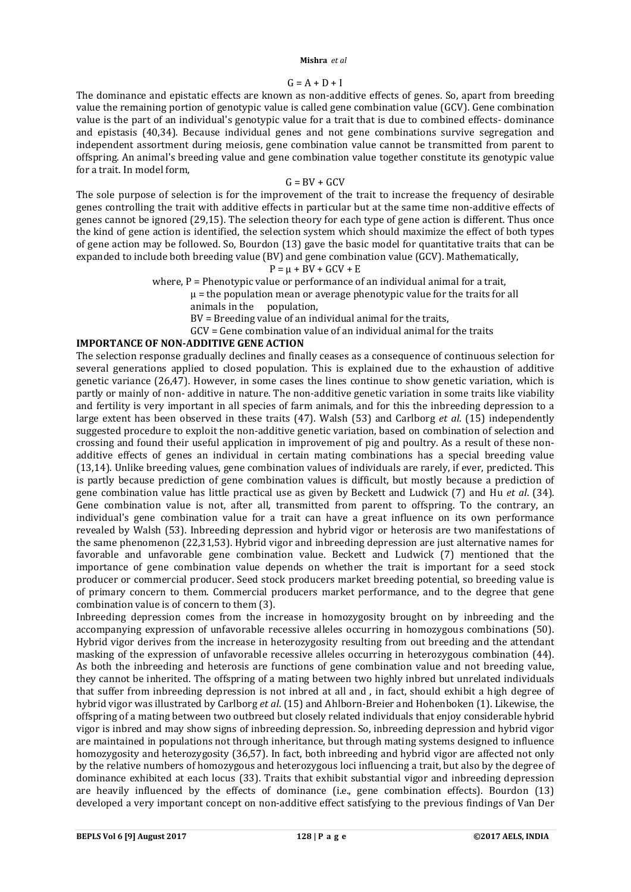#### $G = A + D + I$

The dominance and epistatic effects are known as non-additive effects of genes. So, apart from breeding value the remaining portion of genotypic value is called gene combination value (GCV). Gene combination value is the part of an individual's genotypic value for a trait that is due to combined effects- dominance and epistasis (40,34). Because individual genes and not gene combinations survive segregation and independent assortment during meiosis, gene combination value cannot be transmitted from parent to offspring. An animal's breeding value and gene combination value together constitute its genotypic value for a trait. In model form,

# $G = BV + GCV$

The sole purpose of selection is for the improvement of the trait to increase the frequency of desirable genes controlling the trait with additive effects in particular but at the same time non-additive effects of genes cannot be ignored (29,15). The selection theory for each type of gene action is different. Thus once the kind of gene action is identified, the selection system which should maximize the effect of both types of gene action may be followed. So, Bourdon (13) gave the basic model for quantitative traits that can be expanded to include both breeding value (BV) and gene combination value (GCV). Mathematically,

# $P = \mu + BV + GCV + E$

where, P = Phenotypic value or performance of an individual animal for a trait,

 $\mu$  = the population mean or average phenotypic value for the traits for all

animals in the population,

BV = Breeding value of an individual animal for the traits,

GCV = Gene combination value of an individual animal for the traits

# **IMPORTANCE OF NON-ADDITIVE GENE ACTION**

The selection response gradually declines and finally ceases as a consequence of continuous selection for several generations applied to closed population. This is explained due to the exhaustion of additive genetic variance (26,47). However, in some cases the lines continue to show genetic variation, which is partly or mainly of non- additive in nature. The non-additive genetic variation in some traits like viability and fertility is very important in all species of farm animals, and for this the inbreeding depression to a large extent has been observed in these traits (47). Walsh (53) and Carlborg *et al*. (15) independently suggested procedure to exploit the non-additive genetic variation, based on combination of selection and crossing and found their useful application in improvement of pig and poultry. As a result of these nonadditive effects of genes an individual in certain mating combinations has a special breeding value (13,14). Unlike breeding values, gene combination values of individuals are rarely, if ever, predicted. This is partly because prediction of gene combination values is difficult, but mostly because a prediction of gene combination value has little practical use as given by Beckett and Ludwick (7) and Hu *et al*. (34). Gene combination value is not, after all, transmitted from parent to offspring. To the contrary, an individual's gene combination value for a trait can have a great influence on its own performance revealed by Walsh (53). Inbreeding depression and hybrid vigor or heterosis are two manifestations of the same phenomenon (22,31,53). Hybrid vigor and inbreeding depression are just alternative names for favorable and unfavorable gene combination value. Beckett and Ludwick (7) mentioned that the importance of gene combination value depends on whether the trait is important for a seed stock producer or commercial producer. Seed stock producers market breeding potential, so breeding value is of primary concern to them. Commercial producers market performance, and to the degree that gene combination value is of concern to them (3).

Inbreeding depression comes from the increase in homozygosity brought on by inbreeding and the accompanying expression of unfavorable recessive alleles occurring in homozygous combinations (50). Hybrid vigor derives from the increase in heterozygosity resulting from out breeding and the attendant masking of the expression of unfavorable recessive alleles occurring in heterozygous combination (44). As both the inbreeding and heterosis are functions of gene combination value and not breeding value, they cannot be inherited. The offspring of a mating between two highly inbred but unrelated individuals that suffer from inbreeding depression is not inbred at all and , in fact, should exhibit a high degree of hybrid vigor was illustrated by Carlborg *et al*. (15) and Ahlborn-Breier and Hohenboken (1). Likewise, the offspring of a mating between two outbreed but closely related individuals that enjoy considerable hybrid vigor is inbred and may show signs of inbreeding depression. So, inbreeding depression and hybrid vigor are maintained in populations not through inheritance, but through mating systems designed to influence homozygosity and heterozygosity (36,57). In fact, both inbreeding and hybrid vigor are affected not only by the relative numbers of homozygous and heterozygous loci influencing a trait, but also by the degree of dominance exhibited at each locus (33). Traits that exhibit substantial vigor and inbreeding depression are heavily influenced by the effects of dominance (i.e., gene combination effects). Bourdon (13) developed a very important concept on non-additive effect satisfying to the previous findings of Van Der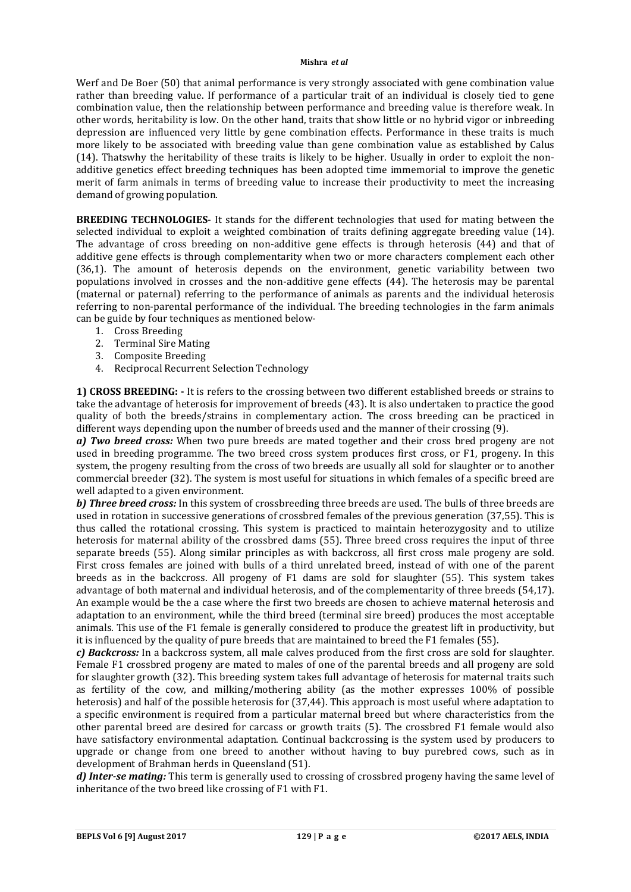Werf and De Boer (50) that animal performance is very strongly associated with gene combination value rather than breeding value. If performance of a particular trait of an individual is closely tied to gene combination value, then the relationship between performance and breeding value is therefore weak. In other words, heritability is low. On the other hand, traits that show little or no hybrid vigor or inbreeding depression are influenced very little by gene combination effects. Performance in these traits is much more likely to be associated with breeding value than gene combination value as established by Calus (14). Thatswhy the heritability of these traits is likely to be higher. Usually in order to exploit the nonadditive genetics effect breeding techniques has been adopted time immemorial to improve the genetic merit of farm animals in terms of breeding value to increase their productivity to meet the increasing demand of growing population.

**BREEDING TECHNOLOGIES**- It stands for the different technologies that used for mating between the selected individual to exploit a weighted combination of traits defining aggregate breeding value (14). The advantage of cross breeding on non-additive gene effects is through heterosis (44) and that of additive gene effects is through complementarity when two or more characters complement each other (36,1). The amount of heterosis depends on the environment, genetic variability between two populations involved in crosses and the non-additive gene effects (44). The heterosis may be parental (maternal or paternal) referring to the performance of animals as parents and the individual heterosis referring to non-parental performance of the individual. The breeding technologies in the farm animals can be guide by four techniques as mentioned below-

- 1. Cross Breeding
- 2. Terminal Sire Mating
- 3. Composite Breeding
- 4. Reciprocal Recurrent Selection Technology

**1) CROSS BREEDING: -** It is refers to the crossing between two different established breeds or strains to take the advantage of heterosis for improvement of breeds (43). It is also undertaken to practice the good quality of both the breeds/strains in complementary action. The cross breeding can be practiced in different ways depending upon the number of breeds used and the manner of their crossing (9).

*a) Two breed cross:* When two pure breeds are mated together and their cross bred progeny are not used in breeding programme. The two breed cross system produces first cross, or F1, progeny. In this system, the progeny resulting from the cross of two breeds are usually all sold for slaughter or to another commercial breeder (32). The system is most useful for situations in which females of a specific breed are well adapted to a given environment.

*b) Three breed cross:* In this system of crossbreeding three breeds are used. The bulls of three breeds are used in rotation in successive generations of crossbred females of the previous generation (37,55). This is thus called the rotational crossing. This system is practiced to maintain heterozygosity and to utilize heterosis for maternal ability of the crossbred dams (55). Three breed cross requires the input of three separate breeds (55). Along similar principles as with backcross, all first cross male progeny are sold. First cross females are joined with bulls of a third unrelated breed, instead of with one of the parent breeds as in the backcross. All progeny of F1 dams are sold for slaughter (55). This system takes advantage of both maternal and individual heterosis, and of the complementarity of three breeds (54,17). An example would be the a case where the first two breeds are chosen to achieve maternal heterosis and adaptation to an environment, while the third breed (terminal sire breed) produces the most acceptable animals. This use of the F1 female is generally considered to produce the greatest lift in productivity, but it is influenced by the quality of pure breeds that are maintained to breed the F1 females (55).

*c) Backcross:* In a backcross system, all male calves produced from the first cross are sold for slaughter. Female F1 crossbred progeny are mated to males of one of the parental breeds and all progeny are sold for slaughter growth (32). This breeding system takes full advantage of heterosis for maternal traits such as fertility of the cow, and milking/mothering ability (as the mother expresses 100% of possible heterosis) and half of the possible heterosis for (37,44). This approach is most useful where adaptation to a specific environment is required from a particular maternal breed but where characteristics from the other parental breed are desired for carcass or growth traits (5). The crossbred F1 female would also have satisfactory environmental adaptation. Continual backcrossing is the system used by producers to upgrade or change from one breed to another without having to buy purebred cows, such as in development of Brahman herds in Queensland (51).

*d) Inter-se mating:* This term is generally used to crossing of crossbred progeny having the same level of inheritance of the two breed like crossing of F1 with F1.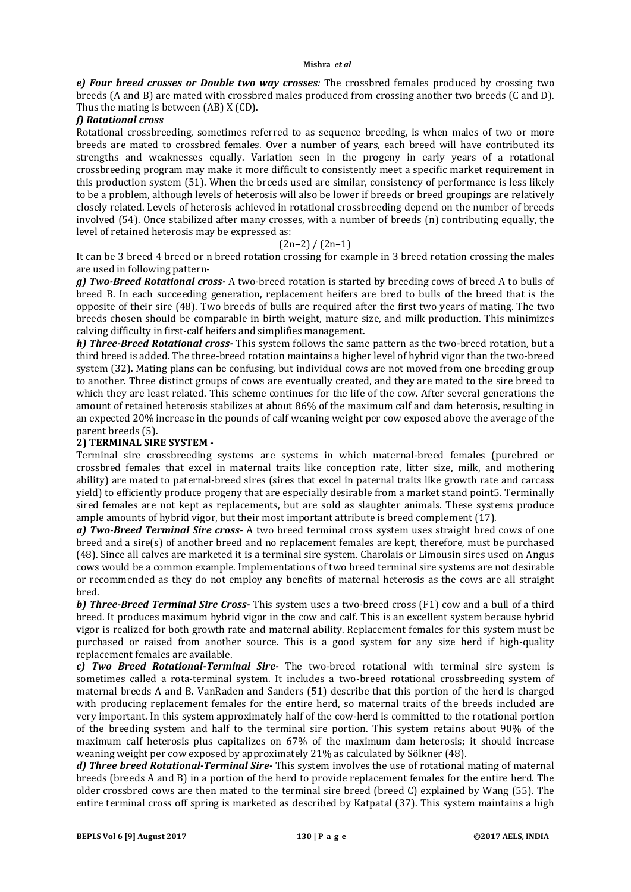*e) Four breed crosses or Double two way crosses:* The crossbred females produced by crossing two breeds (A and B) are mated with crossbred males produced from crossing another two breeds (C and D). Thus the mating is between (AB) X (CD).

# *f) Rotational cross*

Rotational crossbreeding, sometimes referred to as sequence breeding, is when males of two or more breeds are mated to crossbred females. Over a number of years, each breed will have contributed its strengths and weaknesses equally. Variation seen in the progeny in early years of a rotational crossbreeding program may make it more difficult to consistently meet a specific market requirement in this production system (51). When the breeds used are similar, consistency of performance is less likely to be a problem, although levels of heterosis will also be lower if breeds or breed groupings are relatively closely related. Levels of heterosis achieved in rotational crossbreeding depend on the number of breeds involved (54). Once stabilized after many crosses, with a number of breeds (n) contributing equally, the level of retained heterosis may be expressed as:

# $(2n-2) / (2n-1)$

It can be 3 breed 4 breed or n breed rotation crossing for example in 3 breed rotation crossing the males are used in following pattern-

*g) Two-Breed Rotational cross-* A two-breed rotation is started by breeding cows of breed A to bulls of breed B. In each succeeding generation, replacement heifers are bred to bulls of the breed that is the opposite of their sire (48). Two breeds of bulls are required after the first two years of mating. The two breeds chosen should be comparable in birth weight, mature size, and milk production. This minimizes calving difficulty in first-calf heifers and simplifies management.

*h) Three-Breed Rotational cross-* This system follows the same pattern as the two-breed rotation, but a third breed is added. The three-breed rotation maintains a higher level of hybrid vigor than the two-breed system (32). Mating plans can be confusing, but individual cows are not moved from one breeding group to another. Three distinct groups of cows are eventually created, and they are mated to the sire breed to which they are least related. This scheme continues for the life of the cow. After several generations the amount of retained heterosis stabilizes at about 86% of the maximum calf and dam heterosis, resulting in an expected 20% increase in the pounds of calf weaning weight per cow exposed above the average of the parent breeds (5).

# **2) TERMINAL SIRE SYSTEM -**

Terminal sire crossbreeding systems are systems in which maternal-breed females (purebred or crossbred females that excel in maternal traits like conception rate, litter size, milk, and mothering ability) are mated to paternal-breed sires (sires that excel in paternal traits like growth rate and carcass yield) to efficiently produce progeny that are especially desirable from a market stand point5. Terminally sired females are not kept as replacements, but are sold as slaughter animals. These systems produce ample amounts of hybrid vigor, but their most important attribute is breed complement (17).

*a) Two-Breed Terminal Sire cross-* A two breed terminal cross system uses straight bred cows of one breed and a sire(s) of another breed and no replacement females are kept, therefore, must be purchased (48). Since all calves are marketed it is a terminal sire system. Charolais or Limousin sires used on Angus cows would be a common example. Implementations of two breed terminal sire systems are not desirable or recommended as they do not employ any benefits of maternal heterosis as the cows are all straight bred.

*b) Three-Breed Terminal Sire Cross-* This system uses a two-breed cross (F1) cow and a bull of a third breed. It produces maximum hybrid vigor in the cow and calf. This is an excellent system because hybrid vigor is realized for both growth rate and maternal ability. Replacement females for this system must be purchased or raised from another source. This is a good system for any size herd if high-quality replacement females are available.

*c) Two Breed Rotational-Terminal Sire-* The two-breed rotational with terminal sire system is sometimes called a rota-terminal system. It includes a two-breed rotational crossbreeding system of maternal breeds A and B. VanRaden and Sanders (51) describe that this portion of the herd is charged with producing replacement females for the entire herd, so maternal traits of the breeds included are very important. In this system approximately half of the cow-herd is committed to the rotational portion of the breeding system and half to the terminal sire portion. This system retains about 90% of the maximum calf heterosis plus capitalizes on 67% of the maximum dam heterosis; it should increase weaning weight per cow exposed by approximately 21% as calculated by Sölkner (48).

*d) Three breed Rotational-Terminal Sire-* This system involves the use of rotational mating of maternal breeds (breeds A and B) in a portion of the herd to provide replacement females for the entire herd. The older crossbred cows are then mated to the terminal sire breed (breed C) explained by Wang (55). The entire terminal cross off spring is marketed as described by Katpatal (37). This system maintains a high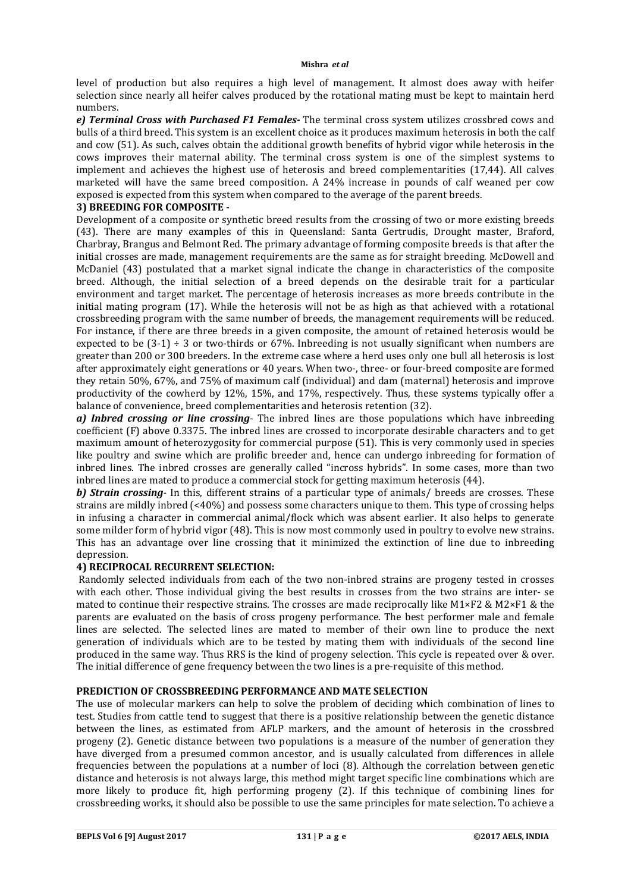level of production but also requires a high level of management. It almost does away with heifer selection since nearly all heifer calves produced by the rotational mating must be kept to maintain herd numbers.

*e) Terminal Cross with Purchased F1 Females-* The terminal cross system utilizes crossbred cows and bulls of a third breed. This system is an excellent choice as it produces maximum heterosis in both the calf and cow (51). As such, calves obtain the additional growth benefits of hybrid vigor while heterosis in the cows improves their maternal ability. The terminal cross system is one of the simplest systems to implement and achieves the highest use of heterosis and breed complementarities (17,44). All calves marketed will have the same breed composition. A 24% increase in pounds of calf weaned per cow exposed is expected from this system when compared to the average of the parent breeds.

# **3) BREEDING FOR COMPOSITE -**

Development of a composite or synthetic breed results from the crossing of two or more existing breeds (43). There are many examples of this in Queensland: Santa Gertrudis, Drought master, Braford, Charbray, Brangus and Belmont Red. The primary advantage of forming composite breeds is that after the initial crosses are made, management requirements are the same as for straight breeding. McDowell and McDaniel (43) postulated that a market signal indicate the change in characteristics of the composite breed. Although, the initial selection of a breed depends on the desirable trait for a particular environment and target market. The percentage of heterosis increases as more breeds contribute in the initial mating program (17). While the heterosis will not be as high as that achieved with a rotational crossbreeding program with the same number of breeds, the management requirements will be reduced. For instance, if there are three breeds in a given composite, the amount of retained heterosis would be expected to be  $(3-1) \div 3$  or two-thirds or 67%. Inbreeding is not usually significant when numbers are greater than 200 or 300 breeders. In the extreme case where a herd uses only one bull all heterosis is lost after approximately eight generations or 40 years. When two-, three- or four-breed composite are formed they retain 50%, 67%, and 75% of maximum calf (individual) and dam (maternal) heterosis and improve productivity of the cowherd by 12%, 15%, and 17%, respectively. Thus, these systems typically offer a balance of convenience, breed complementarities and heterosis retention (32).

*a) Inbred crossing or line crossing-* The inbred lines are those populations which have inbreeding coefficient (F) above 0.3375. The inbred lines are crossed to incorporate desirable characters and to get maximum amount of heterozygosity for commercial purpose (51). This is very commonly used in species like poultry and swine which are prolific breeder and, hence can undergo inbreeding for formation of inbred lines. The inbred crosses are generally called "incross hybrids". In some cases, more than two inbred lines are mated to produce a commercial stock for getting maximum heterosis (44).

*b) Strain crossing-* In this, different strains of a particular type of animals/ breeds are crosses. These strains are mildly inbred (<40%) and possess some characters unique to them. This type of crossing helps in infusing a character in commercial animal/flock which was absent earlier. It also helps to generate some milder form of hybrid vigor (48). This is now most commonly used in poultry to evolve new strains. This has an advantage over line crossing that it minimized the extinction of line due to inbreeding depression.

# **4) RECIPROCAL RECURRENT SELECTION:**

Randomly selected individuals from each of the two non-inbred strains are progeny tested in crosses with each other. Those individual giving the best results in crosses from the two strains are inter- se mated to continue their respective strains. The crosses are made reciprocally like M1×F2 & M2×F1 & the parents are evaluated on the basis of cross progeny performance. The best performer male and female lines are selected. The selected lines are mated to member of their own line to produce the next generation of individuals which are to be tested by mating them with individuals of the second line produced in the same way. Thus RRS is the kind of progeny selection. This cycle is repeated over & over. The initial difference of gene frequency between the two lines is a pre-requisite of this method.

# **PREDICTION OF CROSSBREEDING PERFORMANCE AND MATE SELECTION**

The use of molecular markers can help to solve the problem of deciding which combination of lines to test. Studies from cattle tend to suggest that there is a positive relationship between the genetic distance between the lines, as estimated from AFLP markers, and the amount of heterosis in the crossbred progeny (2). Genetic distance between two populations is a measure of the number of generation they have diverged from a presumed common ancestor, and is usually calculated from differences in allele frequencies between the populations at a number of loci (8). Although the correlation between genetic distance and heterosis is not always large, this method might target specific line combinations which are more likely to produce fit, high performing progeny (2). If this technique of combining lines for crossbreeding works, it should also be possible to use the same principles for mate selection. To achieve a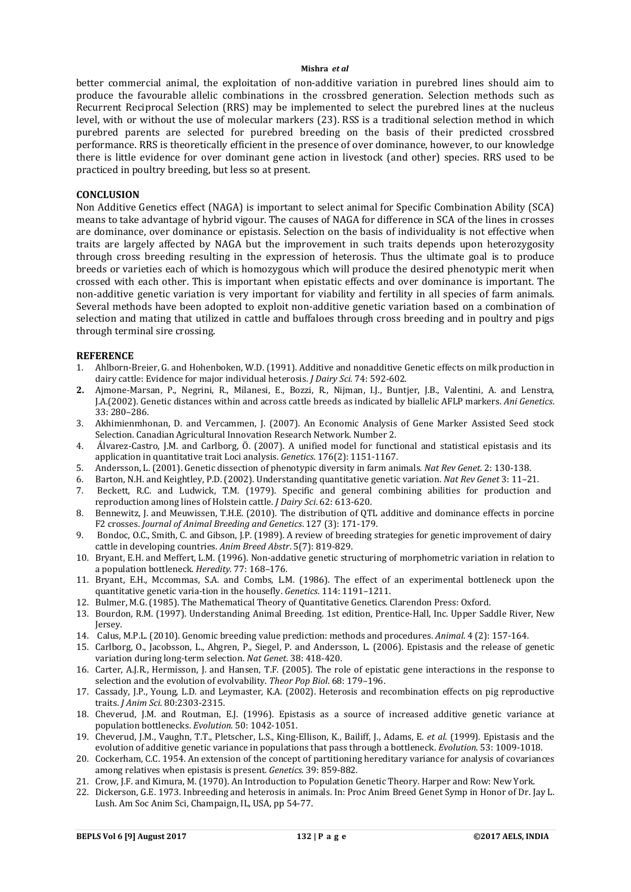better commercial animal, the exploitation of non-additive variation in purebred lines should aim to produce the favourable allelic combinations in the crossbred generation. Selection methods such as Recurrent Reciprocal Selection (RRS) may be implemented to select the purebred lines at the nucleus level, with or without the use of molecular markers (23). RSS is a traditional selection method in which purebred parents are selected for purebred breeding on the basis of their predicted crossbred performance. RRS is theoretically efficient in the presence of over dominance, however, to our knowledge there is little evidence for over dominant gene action in livestock (and other) species. RRS used to be practiced in poultry breeding, but less so at present.

## **CONCLUSION**

Non Additive Genetics effect (NAGA) is important to select animal for Specific Combination Ability (SCA) means to take advantage of hybrid vigour. The causes of NAGA for difference in SCA of the lines in crosses are dominance, over dominance or epistasis. Selection on the basis of individuality is not effective when traits are largely affected by NAGA but the improvement in such traits depends upon heterozygosity through cross breeding resulting in the expression of heterosis. Thus the ultimate goal is to produce breeds or varieties each of which is homozygous which will produce the desired phenotypic merit when crossed with each other. This is important when epistatic effects and over dominance is important. The non-additive genetic variation is very important for viability and fertility in all species of farm animals. Several methods have been adopted to exploit non-additive genetic variation based on a combination of selection and mating that utilized in cattle and buffaloes through cross breeding and in poultry and pigs through terminal sire crossing.

#### **REFERENCE**

- 1. Ahlborn-Breier, G. and Hohenboken, W.D. (1991). Additive and nonadditive Genetic effects on milk production in dairy cattle: Evidence for major individual heterosis. *J Dairy Sci*. 74: 592-602.
- **2.** Ajmone-Marsan, P., Negrini, R., Milanesi, E., Bozzi, R., Nijman, I.J., Buntjer, J.B., Valentini, A. and Lenstra, J.A.(2002). Genetic distances within and across cattle breeds as indicated by biallelic AFLP markers. *Ani Genetics*. 33: 280–286.
- 3. Akhimienmhonan, D. and Vercammen, J. (2007). An Economic Analysis of Gene Marker Assisted Seed stock Selection. Canadian Agricultural Innovation Research Network. Number 2.
- 4. Álvarez-Castro, J.M. and Carlborg, Ö. (2007). A unified model for functional and statistical epistasis and its application in quantitative trait Loci analysis. *Genetics*. 176(2): 1151-1167.
- 5. Andersson, L. (2001). Genetic dissection of phenotypic diversity in farm animals. *Nat Rev Genet*. 2: 130-138.
- 6. Barton, N.H. and Keightley, P.D. (2002). Understanding quantitative genetic variation. *Nat Rev Genet* 3: 11–21.
- 7. Beckett, R.C. and Ludwick, T.M. (1979). Specific and general combining abilities for production and reproduction among lines of Holstein cattle. *J Dairy Sci*. 62: 613-620.
- 8. Bennewitz, J. and Meuwissen, T.H.E. (2010). The distribution of QTL additive and dominance effects in porcine F2 crosses. *Journal of Animal Breeding and Genetics*. 127 (3): 171-179.
- 9. Bondoc, O.C., Smith, C. and Gibson, J.P. (1989). A review of breeding strategies for genetic improvement of dairy cattle in developing countries. *Anim Breed Abstr*. 5(7): 819-829.
- 10. Bryant, E.H. and Meffert, L.M. (1996). Non-addative genetic structuring of morphometric variation in relation to a population bottleneck. *Heredity*. 77: 168–176.
- 11. Bryant, E.H., Mccommas, S.A. and Combs, L.M. (1986). The effect of an experimental bottleneck upon the quantitative genetic varia-tion in the housefly. *Genetics*. 114: 1191–1211.
- 12. Bulmer, M.G. (1985). The Mathematical Theory of Quantitative Genetics. Clarendon Press: Oxford.
- 13. Bourdon, R.M. (1997). Understanding Animal Breeding. 1st edition, Prentice-Hall, Inc. Upper Saddle River, New Jersey.
- 14. Calus, M.P.L. (2010). Genomic breeding value prediction: methods and procedures. *Animal*. 4 (2): 157-164.
- 15. Carlborg, O., Jacobsson, L., Ahgren, P., Siegel, P. and Andersson, L. (2006). Epistasis and the release of genetic variation during long-term selection. *Nat Genet*. 38: 418-420.
- 16. Carter, A.J.R., Hermisson, J. and Hansen, T.F. (2005). The role of epistatic gene interactions in the response to selection and the evolution of evolvability. *Theor Pop Biol*. 68: 179–196.
- 17. Cassady, J.P., Young, L.D. and Leymaster, K.A. (2002). Heterosis and recombination effects on pig reproductive traits. *J Anim Sci*. 80:2303-2315.
- 18. Cheverud, J.M. and Routman, E.J. (1996). Epistasis as a source of increased additive genetic variance at population bottlenecks. *Evolution*. 50: 1042-1051.
- 19. Cheverud, J.M., Vaughn, T.T., Pletscher, L.S., King-Ellison, K., Bailiff, J., Adams, E. *et al*. (1999). Epistasis and the evolution of additive genetic variance in populations that pass through a bottleneck. *Evolution*. 53: 1009-1018.
- 20. Cockerham, C.C. 1954. An extension of the concept of partitioning hereditary variance for analysis of covariances among relatives when epistasis is present. *Genetics*. 39: 859-882.
- 21. Crow, J.F. and Kimura, M. (1970). An Introduction to Population Genetic Theory. Harper and Row: New York.
- 22. Dickerson, G.E. 1973. Inbreeding and heterosis in animals. In: Proc Anim Breed Genet Symp in Honor of Dr. Jay L. Lush. Am Soc Anim Sci, Champaign, IL, USA, pp 54-77.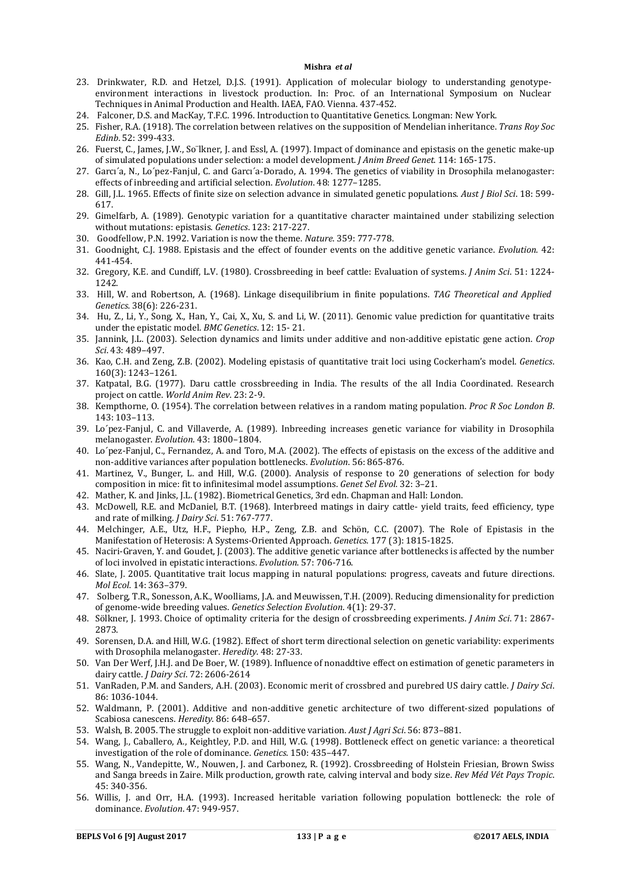- 23. Drinkwater, R.D. and Hetzel, D.J.S. (1991). Application of molecular biology to understanding genotypeenvironment interactions in livestock production. In: Proc. of an International Symposium on Nuclear Techniques in Animal Production and Health. IAEA, FAO. Vienna. 437-452.
- 24. Falconer, D.S. and MacKay, T.F.C. 1996. Introduction to Quantitative Genetics. Longman: New York.
- 25. Fisher, R.A. (1918). The correlation between relatives on the supposition of Mendelian inheritance. *Trans Roy Soc Edinb*. 52: 399-433.
- 26. Fuerst, C., James, J.W., So¨lkner, J. and Essl, A. (1997). Impact of dominance and epistasis on the genetic make-up of simulated populations under selection: a model development. *J Anim Breed Genet*. 114: 165-175.
- 27. Garcı´a, N., Lo´pez-Fanjul, C. and Garcı´a-Dorado, A. 1994. The genetics of viability in Drosophila melanogaster: effects of inbreeding and artificial selection. *Evolution*. 48: 1277–1285.
- 28. Gill, J.L. 1965. Effects of finite size on selection advance in simulated genetic populations. *Aust J Biol Sci*. 18: 599- 617.
- 29. Gimelfarb, A. (1989). Genotypic variation for a quantitative character maintained under stabilizing selection without mutations: epistasis. *Genetics*. 123: 217-227.
- 30. Goodfellow, P.N. 1992. Variation is now the theme. *Nature*. 359: 777-778.
- 31. Goodnight, C.J. 1988. Epistasis and the effect of founder events on the additive genetic variance. *Evolution*. 42: 441-454.
- 32. Gregory, K.E. and Cundiff, L.V. (1980). Crossbreeding in beef cattle: Evaluation of systems. *J Anim Sci*. 51: 1224- 1242.
- 33. Hill, W. and Robertson, A. (1968). Linkage disequilibrium in finite populations. *TAG Theoretical and Applied Genetics*. 38(6): 226-231.
- 34. Hu, Z., Li, Y., Song, X., Han, Y., Cai, X., Xu, S. and Li, W. (2011). Genomic value prediction for quantitative traits under the epistatic model. *BMC Genetics*. 12: 15- 21.
- 35. Jannink, J.L. (2003). Selection dynamics and limits under additive and non-additive epistatic gene action. *Crop Sci*. 43: 489–497.
- 36. Kao, C.H. and Zeng, Z.B. (2002). Modeling epistasis of quantitative trait loci using Cockerham's model. *Genetics*. 160(3): 1243–1261.
- 37. Katpatal, B.G. (1977). Daru cattle crossbreeding in India. The results of the all India Coordinated. Research project on cattle. *World Anim Rev*. 23: 2-9.
- 38. Kempthorne, O. (1954). The correlation between relatives in a random mating population. *Proc R Soc London B*. 143: 103–113.
- 39. Lo´pez-Fanjul, C. and Villaverde, A. (1989). Inbreeding increases genetic variance for viability in Drosophila melanogaster. *Evolution*. 43: 1800–1804.
- 40. Lo´pez-Fanjul, C., Fernandez, A. and Toro, M.A. (2002). The effects of epistasis on the excess of the additive and non-additive variances after population bottlenecks. *Evolution*. 56: 865-876.
- 41. Martinez, V., Bunger, L. and Hill, W.G. (2000). Analysis of response to 20 generations of selection for body composition in mice: fit to infinitesimal model assumptions. *Genet Sel Evol*. 32: 3–21.
- 42. Mather, K. and Jinks, J.L. (1982). Biometrical Genetics, 3rd edn. Chapman and Hall: London.
- 43. McDowell, R.E. and McDaniel, B.T. (1968). Interbreed matings in dairy cattle- yield traits, feed efficiency, type and rate of milking. *J Dairy Sci*. 51: 767-777.
- 44. Melchinger, A.E., Utz, H.F., Piepho, H.P., Zeng, Z.B. and Schön, C.C. (2007). The Role of Epistasis in the Manifestation of Heterosis: A Systems-Oriented Approach. *Genetics*. 177 (3): 1815-1825.
- 45. Naciri-Graven, Y. and Goudet, J. (2003). The additive genetic variance after bottlenecks is affected by the number of loci involved in epistatic interactions. *Evolution*. 57: 706-716.
- 46. Slate, J. 2005. Quantitative trait locus mapping in natural populations: progress, caveats and future directions. *Mol Ecol*. 14: 363–379.
- 47. Solberg, T.R., Sonesson, A.K., Woolliams, J.A. and Meuwissen, T.H. (2009). Reducing dimensionality for prediction of genome-wide breeding values. *Genetics Selection Evolution*. 4(1): 29-37.
- 48. Sölkner, J. 1993. Choice of optimality criteria for the design of crossbreeding experiments. *J Anim Sci*. 71: 2867- 2873.
- 49. Sorensen, D.A. and Hill, W.G. (1982). Effect of short term directional selection on genetic variability: experiments with Drosophila melanogaster. *Heredity*. 48: 27-33.
- 50. Van Der Werf, J.H.J. and De Boer, W. (1989). Influence of nonaddtive effect on estimation of genetic parameters in dairy cattle. *J Dairy Sci*. 72: 2606-2614
- 51. VanRaden, P.M. and Sanders, A.H. (2003). Economic merit of crossbred and purebred US dairy cattle. *J Dairy Sci*. 86: 1036-1044.
- 52. Waldmann, P. (2001). Additive and non-additive genetic architecture of two different-sized populations of Scabiosa canescens. *Heredity*. 86: 648–657.
- 53. Walsh, B. 2005. The struggle to exploit non-additive variation. *Aust J Agri Sci*. 56: 873–881.
- 54. Wang, J., Caballero, A., Keightley, P.D. and Hill, W.G. (1998). Bottleneck effect on genetic variance: a theoretical investigation of the role of dominance. *Genetics*. 150: 435–447.
- 55. Wang, N., Vandepitte, W., Nouwen, J. and Carbonez, R. (1992). Crossbreeding of Holstein Friesian, Brown Swiss and Sanga breeds in Zaire. Milk production, growth rate, calving interval and body size. *Rev Méd Vét Pays Tropic*. 45: 340-356.
- 56. Willis, J. and Orr, H.A. (1993). Increased heritable variation following population bottleneck: the role of dominance. *Evolution*. 47: 949-957.